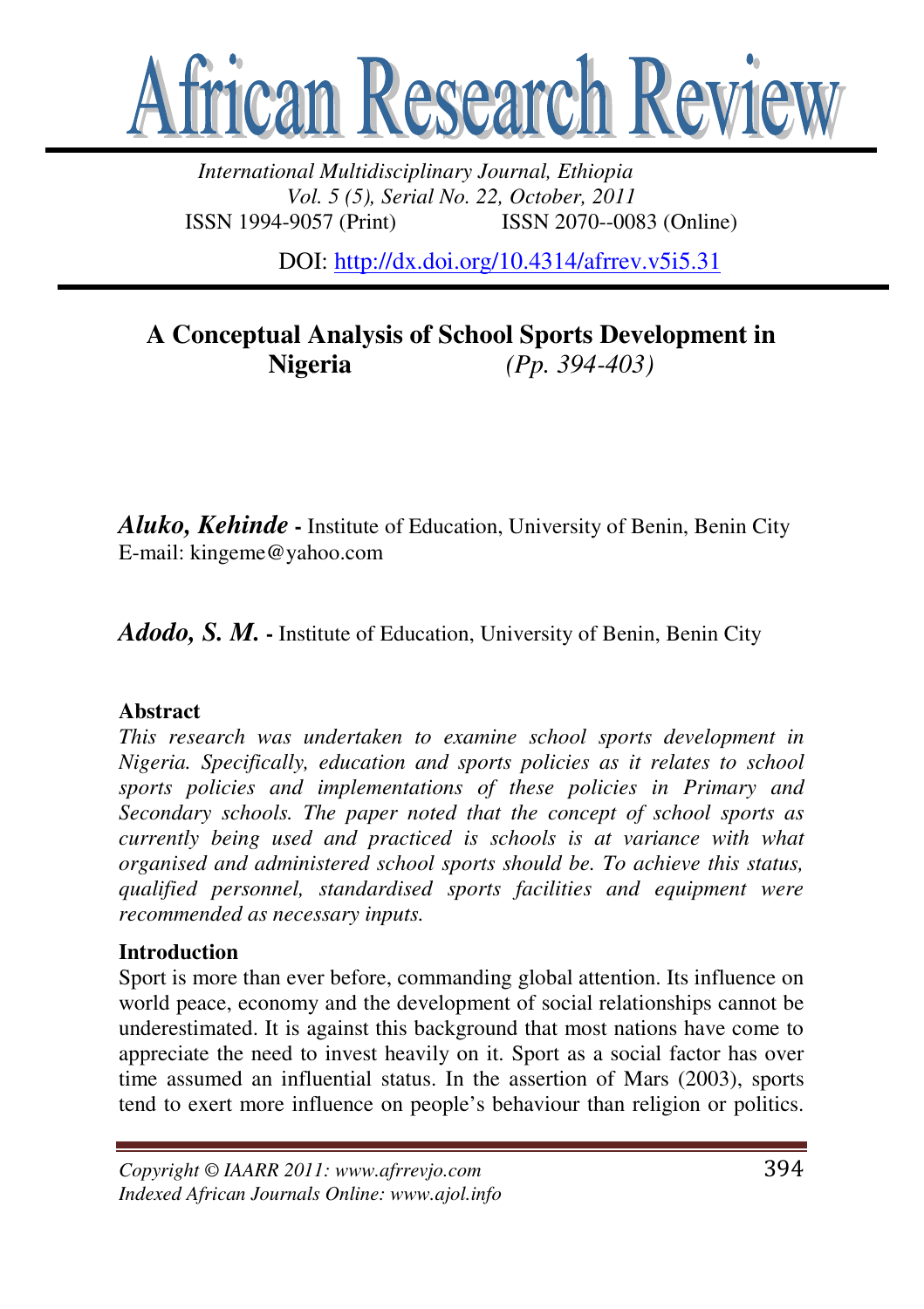

*International Multidisciplinary Journal, Ethiopia Vol. 5 (5), Serial No. 22, October, 2011*  ISSN 1994-9057 (Print) ISSN 2070--0083 (Online)

DOI: http://dx.doi.org/10.4314/afrrev.v5i5.31

# **A Conceptual Analysis of School Sports Development in Nigeria** *(Pp. 394-403)*

*Aluko, Kehinde* **-** Institute of Education, University of Benin, Benin City E-mail: kingeme@yahoo.com

*Adodo, S. M.* **-** Institute of Education, University of Benin, Benin City

## **Abstract**

*This research was undertaken to examine school sports development in Nigeria. Specifically, education and sports policies as it relates to school sports policies and implementations of these policies in Primary and Secondary schools. The paper noted that the concept of school sports as currently being used and practiced is schools is at variance with what organised and administered school sports should be. To achieve this status, qualified personnel, standardised sports facilities and equipment were recommended as necessary inputs.* 

## **Introduction**

Sport is more than ever before, commanding global attention. Its influence on world peace, economy and the development of social relationships cannot be underestimated. It is against this background that most nations have come to appreciate the need to invest heavily on it. Sport as a social factor has over time assumed an influential status. In the assertion of Mars (2003), sports tend to exert more influence on people's behaviour than religion or politics.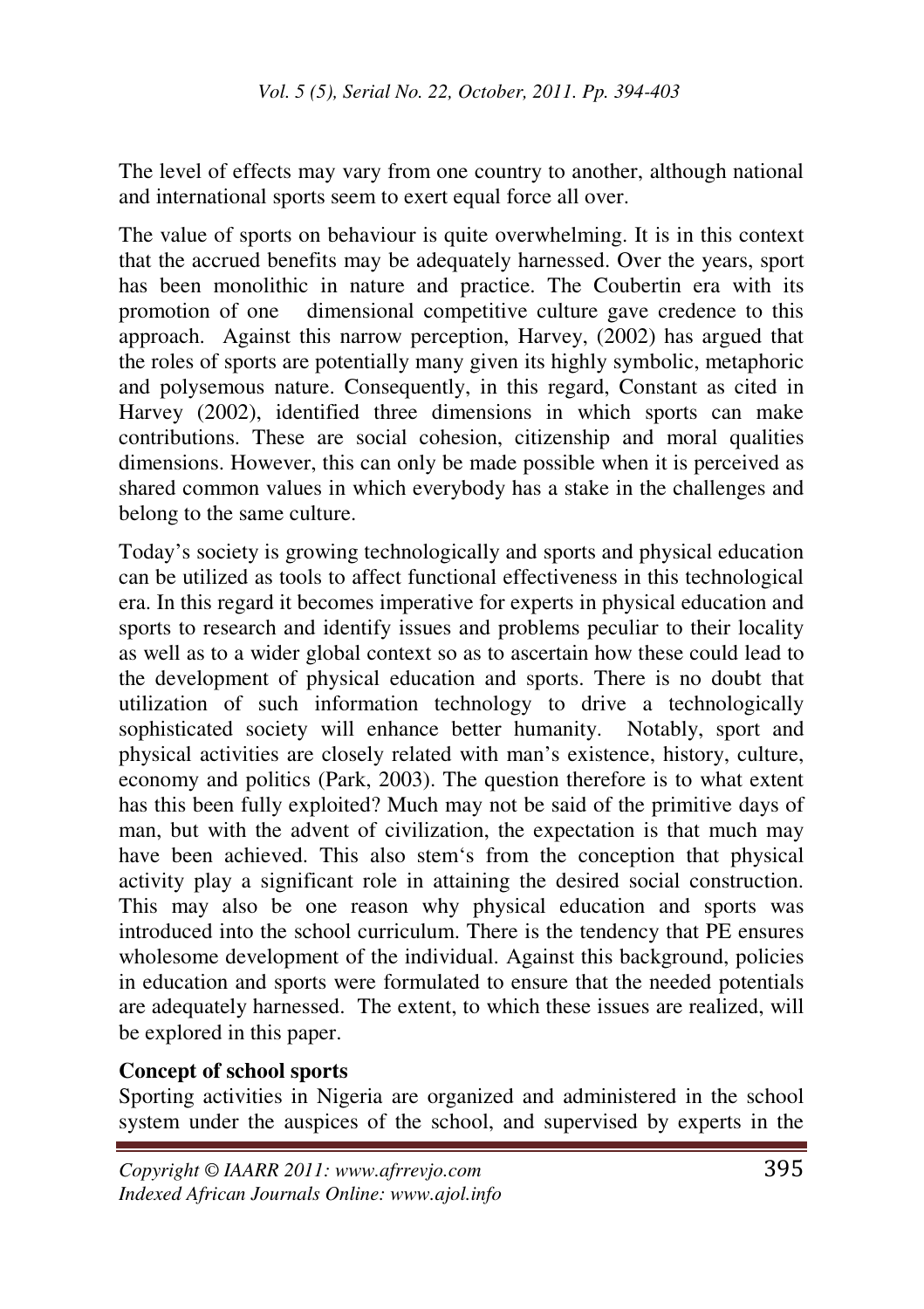The level of effects may vary from one country to another, although national and international sports seem to exert equal force all over.

The value of sports on behaviour is quite overwhelming. It is in this context that the accrued benefits may be adequately harnessed. Over the years, sport has been monolithic in nature and practice. The Coubertin era with its promotion of one dimensional competitive culture gave credence to this approach. Against this narrow perception, Harvey, (2002) has argued that the roles of sports are potentially many given its highly symbolic, metaphoric and polysemous nature. Consequently, in this regard, Constant as cited in Harvey (2002), identified three dimensions in which sports can make contributions. These are social cohesion, citizenship and moral qualities dimensions. However, this can only be made possible when it is perceived as shared common values in which everybody has a stake in the challenges and belong to the same culture.

Today's society is growing technologically and sports and physical education can be utilized as tools to affect functional effectiveness in this technological era. In this regard it becomes imperative for experts in physical education and sports to research and identify issues and problems peculiar to their locality as well as to a wider global context so as to ascertain how these could lead to the development of physical education and sports. There is no doubt that utilization of such information technology to drive a technologically sophisticated society will enhance better humanity. Notably, sport and physical activities are closely related with man's existence, history, culture, economy and politics (Park, 2003). The question therefore is to what extent has this been fully exploited? Much may not be said of the primitive days of man, but with the advent of civilization, the expectation is that much may have been achieved. This also stem's from the conception that physical activity play a significant role in attaining the desired social construction. This may also be one reason why physical education and sports was introduced into the school curriculum. There is the tendency that PE ensures wholesome development of the individual. Against this background, policies in education and sports were formulated to ensure that the needed potentials are adequately harnessed. The extent, to which these issues are realized, will be explored in this paper.

### **Concept of school sports**

Sporting activities in Nigeria are organized and administered in the school system under the auspices of the school, and supervised by experts in the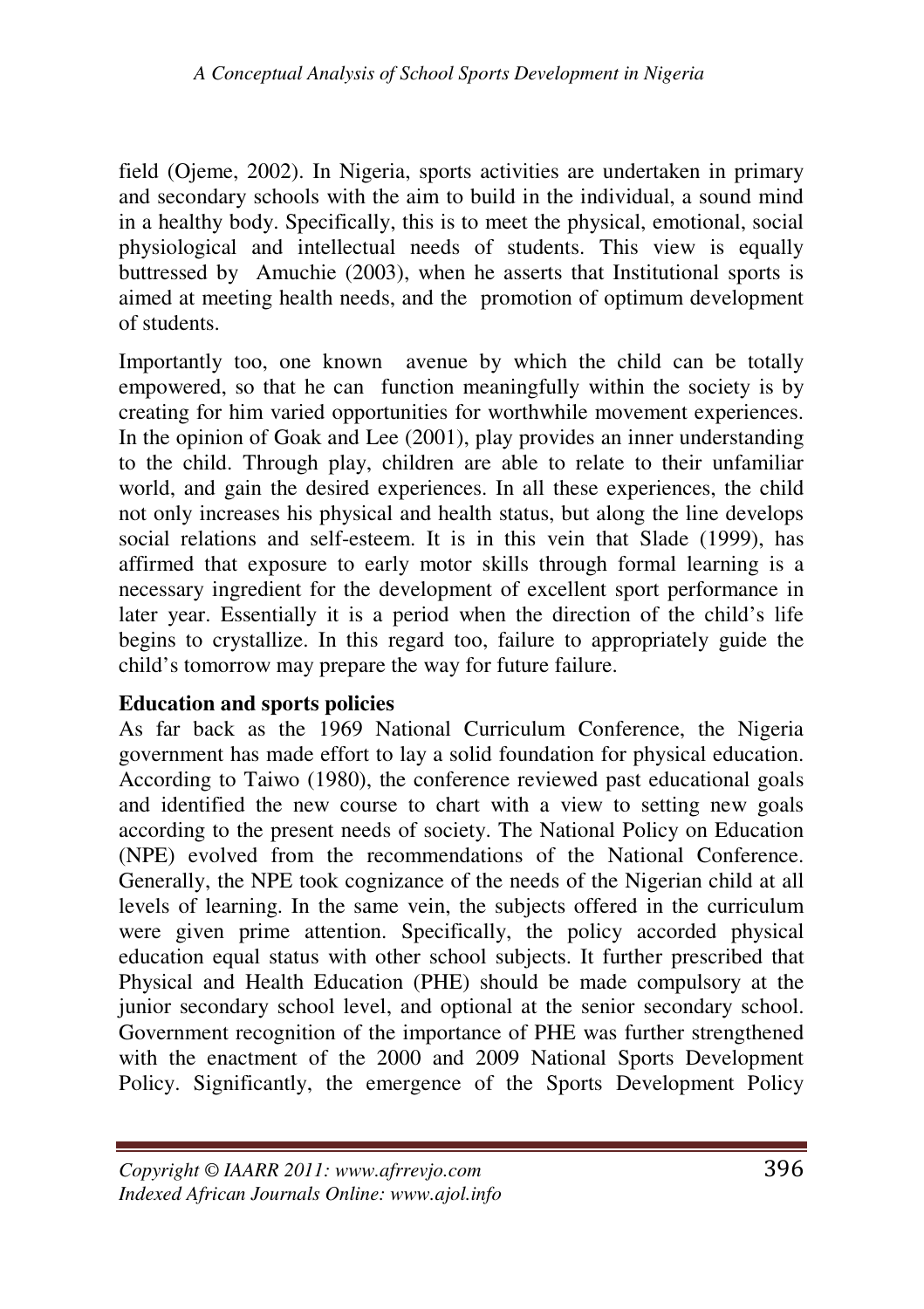field (Ojeme, 2002). In Nigeria, sports activities are undertaken in primary and secondary schools with the aim to build in the individual, a sound mind in a healthy body. Specifically, this is to meet the physical, emotional, social physiological and intellectual needs of students. This view is equally buttressed by Amuchie (2003), when he asserts that Institutional sports is aimed at meeting health needs, and the promotion of optimum development of students.

Importantly too, one known avenue by which the child can be totally empowered, so that he can function meaningfully within the society is by creating for him varied opportunities for worthwhile movement experiences. In the opinion of Goak and Lee (2001), play provides an inner understanding to the child. Through play, children are able to relate to their unfamiliar world, and gain the desired experiences. In all these experiences, the child not only increases his physical and health status, but along the line develops social relations and self-esteem. It is in this vein that Slade (1999), has affirmed that exposure to early motor skills through formal learning is a necessary ingredient for the development of excellent sport performance in later year. Essentially it is a period when the direction of the child's life begins to crystallize. In this regard too, failure to appropriately guide the child's tomorrow may prepare the way for future failure.

### **Education and sports policies**

As far back as the 1969 National Curriculum Conference, the Nigeria government has made effort to lay a solid foundation for physical education. According to Taiwo (1980), the conference reviewed past educational goals and identified the new course to chart with a view to setting new goals according to the present needs of society. The National Policy on Education (NPE) evolved from the recommendations of the National Conference. Generally, the NPE took cognizance of the needs of the Nigerian child at all levels of learning. In the same vein, the subjects offered in the curriculum were given prime attention. Specifically, the policy accorded physical education equal status with other school subjects. It further prescribed that Physical and Health Education (PHE) should be made compulsory at the junior secondary school level, and optional at the senior secondary school. Government recognition of the importance of PHE was further strengthened with the enactment of the 2000 and 2009 National Sports Development Policy. Significantly, the emergence of the Sports Development Policy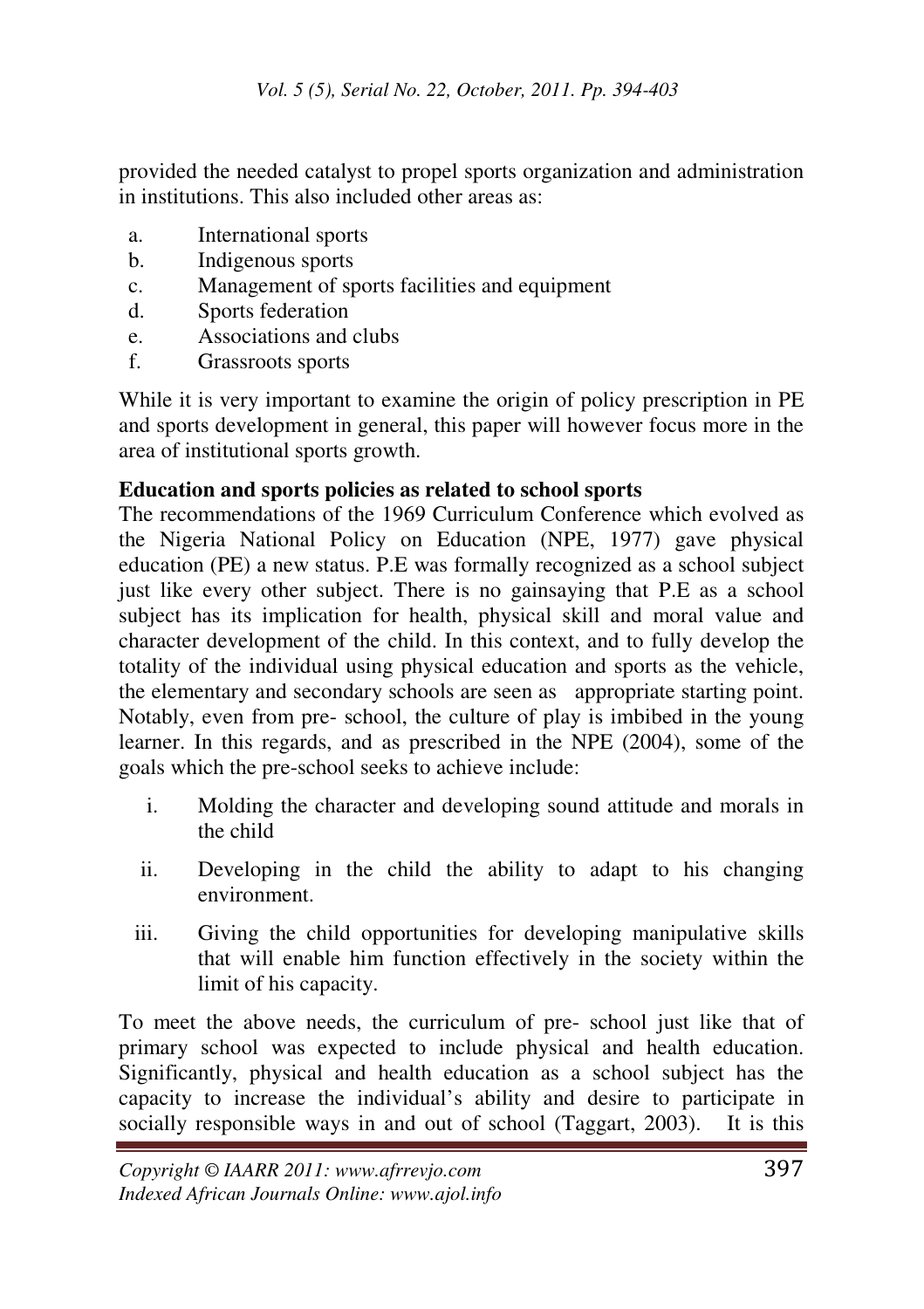provided the needed catalyst to propel sports organization and administration in institutions. This also included other areas as:

- a. International sports
- b. Indigenous sports
- c. Management of sports facilities and equipment
- d. Sports federation
- e. Associations and clubs
- f. Grassroots sports

While it is very important to examine the origin of policy prescription in PE and sports development in general, this paper will however focus more in the area of institutional sports growth.

### **Education and sports policies as related to school sports**

The recommendations of the 1969 Curriculum Conference which evolved as the Nigeria National Policy on Education (NPE, 1977) gave physical education (PE) a new status. P.E was formally recognized as a school subject just like every other subject. There is no gainsaying that P.E as a school subject has its implication for health, physical skill and moral value and character development of the child. In this context, and to fully develop the totality of the individual using physical education and sports as the vehicle, the elementary and secondary schools are seen as appropriate starting point. Notably, even from pre- school, the culture of play is imbibed in the young learner. In this regards, and as prescribed in the NPE (2004), some of the goals which the pre-school seeks to achieve include:

- i. Molding the character and developing sound attitude and morals in the child
- ii. Developing in the child the ability to adapt to his changing environment.
- iii. Giving the child opportunities for developing manipulative skills that will enable him function effectively in the society within the limit of his capacity.

To meet the above needs, the curriculum of pre- school just like that of primary school was expected to include physical and health education. Significantly, physical and health education as a school subject has the capacity to increase the individual's ability and desire to participate in socially responsible ways in and out of school (Taggart, 2003). It is this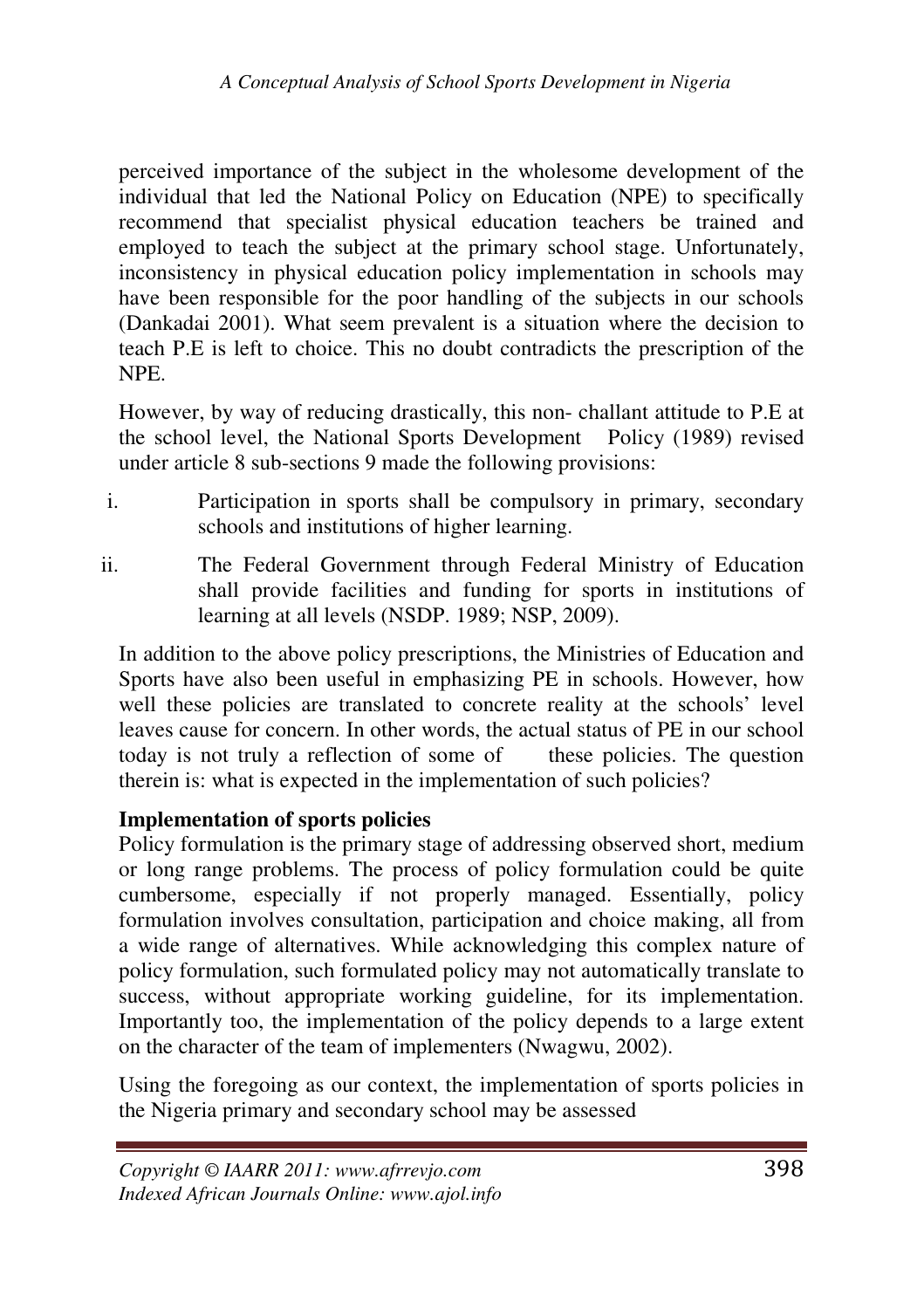perceived importance of the subject in the wholesome development of the individual that led the National Policy on Education (NPE) to specifically recommend that specialist physical education teachers be trained and employed to teach the subject at the primary school stage. Unfortunately, inconsistency in physical education policy implementation in schools may have been responsible for the poor handling of the subjects in our schools (Dankadai 2001). What seem prevalent is a situation where the decision to teach P.E is left to choice. This no doubt contradicts the prescription of the NPE.

However, by way of reducing drastically, this non- challant attitude to P.E at the school level, the National Sports Development Policy (1989) revised under article 8 sub-sections 9 made the following provisions:

- i. Participation in sports shall be compulsory in primary, secondary schools and institutions of higher learning.
- ii. The Federal Government through Federal Ministry of Education shall provide facilities and funding for sports in institutions of learning at all levels (NSDP. 1989; NSP, 2009).

In addition to the above policy prescriptions, the Ministries of Education and Sports have also been useful in emphasizing PE in schools. However, how well these policies are translated to concrete reality at the schools' level leaves cause for concern. In other words, the actual status of PE in our school today is not truly a reflection of some of these policies. The question therein is: what is expected in the implementation of such policies?

# **Implementation of sports policies**

Policy formulation is the primary stage of addressing observed short, medium or long range problems. The process of policy formulation could be quite cumbersome, especially if not properly managed. Essentially, policy formulation involves consultation, participation and choice making, all from a wide range of alternatives. While acknowledging this complex nature of policy formulation, such formulated policy may not automatically translate to success, without appropriate working guideline, for its implementation. Importantly too, the implementation of the policy depends to a large extent on the character of the team of implementers (Nwagwu, 2002).

Using the foregoing as our context, the implementation of sports policies in the Nigeria primary and secondary school may be assessed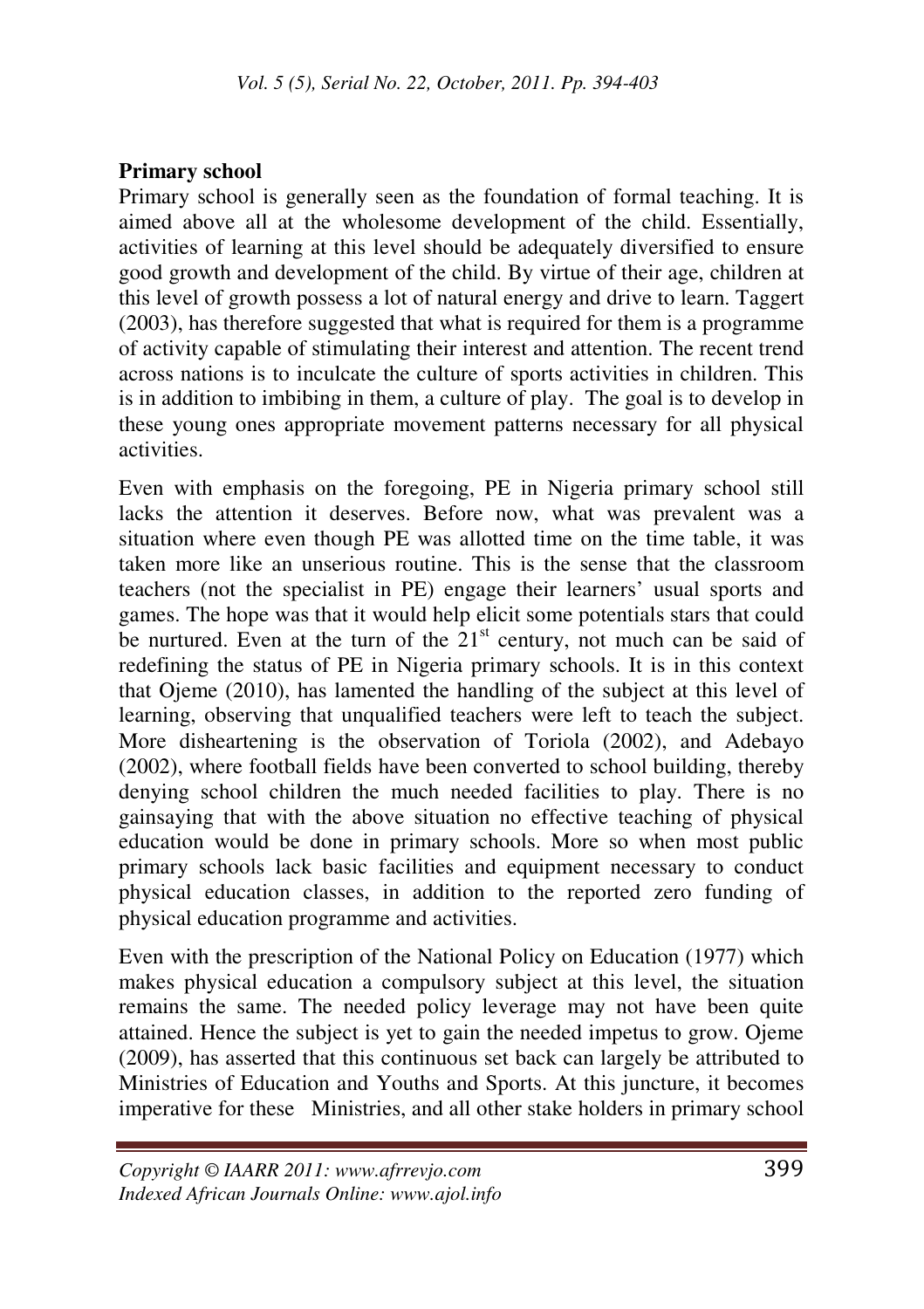# **Primary school**

Primary school is generally seen as the foundation of formal teaching. It is aimed above all at the wholesome development of the child. Essentially, activities of learning at this level should be adequately diversified to ensure good growth and development of the child. By virtue of their age, children at this level of growth possess a lot of natural energy and drive to learn. Taggert (2003), has therefore suggested that what is required for them is a programme of activity capable of stimulating their interest and attention. The recent trend across nations is to inculcate the culture of sports activities in children. This is in addition to imbibing in them, a culture of play. The goal is to develop in these young ones appropriate movement patterns necessary for all physical activities.

Even with emphasis on the foregoing, PE in Nigeria primary school still lacks the attention it deserves. Before now, what was prevalent was a situation where even though PE was allotted time on the time table, it was taken more like an unserious routine. This is the sense that the classroom teachers (not the specialist in PE) engage their learners' usual sports and games. The hope was that it would help elicit some potentials stars that could be nurtured. Even at the turn of the  $21<sup>st</sup>$  century, not much can be said of redefining the status of PE in Nigeria primary schools. It is in this context that Ojeme (2010), has lamented the handling of the subject at this level of learning, observing that unqualified teachers were left to teach the subject. More disheartening is the observation of Toriola (2002), and Adebayo (2002), where football fields have been converted to school building, thereby denying school children the much needed facilities to play. There is no gainsaying that with the above situation no effective teaching of physical education would be done in primary schools. More so when most public primary schools lack basic facilities and equipment necessary to conduct physical education classes, in addition to the reported zero funding of physical education programme and activities.

Even with the prescription of the National Policy on Education (1977) which makes physical education a compulsory subject at this level, the situation remains the same. The needed policy leverage may not have been quite attained. Hence the subject is yet to gain the needed impetus to grow. Ojeme (2009), has asserted that this continuous set back can largely be attributed to Ministries of Education and Youths and Sports. At this juncture, it becomes imperative for these Ministries, and all other stake holders in primary school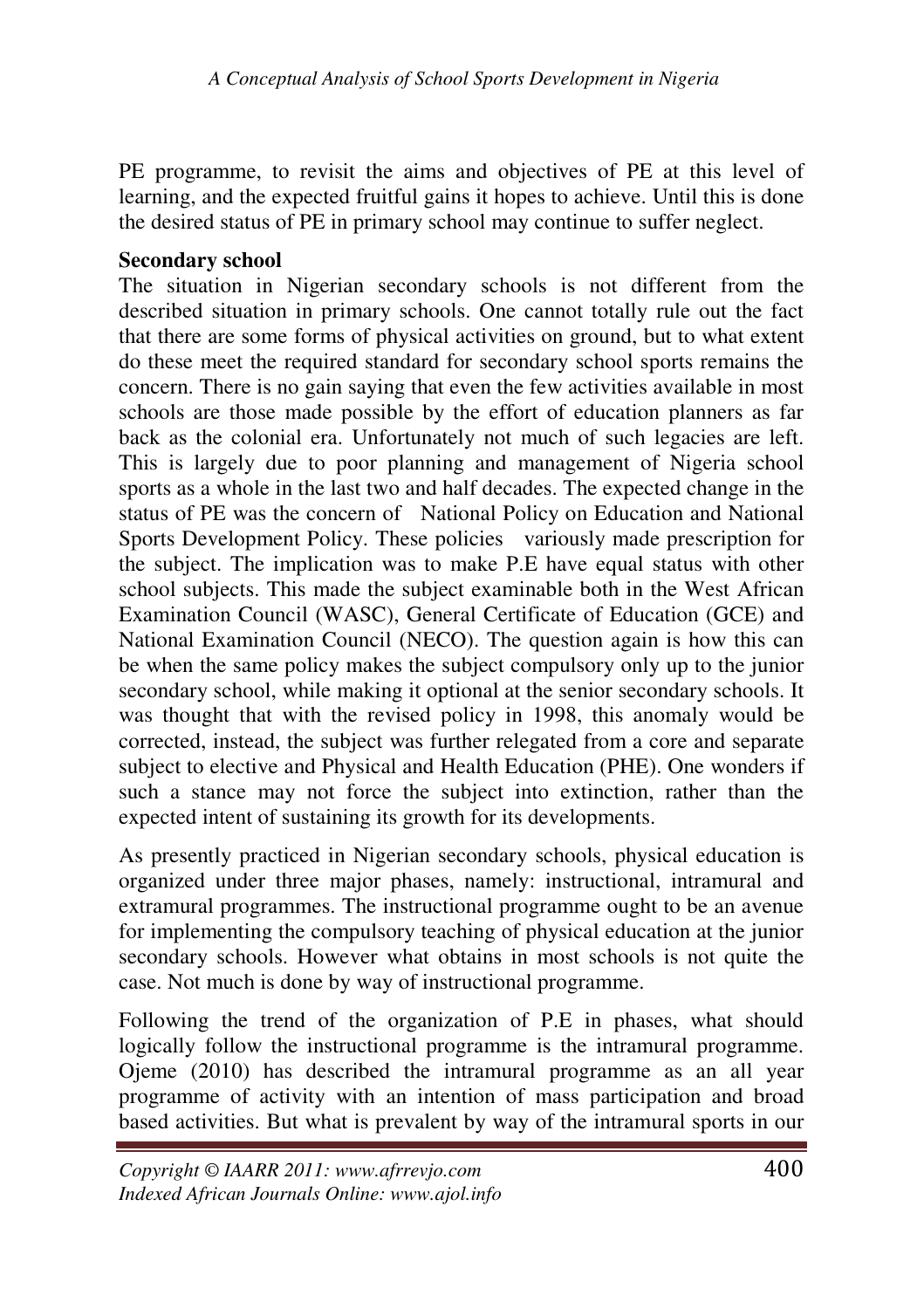PE programme, to revisit the aims and objectives of PE at this level of learning, and the expected fruitful gains it hopes to achieve. Until this is done the desired status of PE in primary school may continue to suffer neglect.

### **Secondary school**

The situation in Nigerian secondary schools is not different from the described situation in primary schools. One cannot totally rule out the fact that there are some forms of physical activities on ground, but to what extent do these meet the required standard for secondary school sports remains the concern. There is no gain saying that even the few activities available in most schools are those made possible by the effort of education planners as far back as the colonial era. Unfortunately not much of such legacies are left. This is largely due to poor planning and management of Nigeria school sports as a whole in the last two and half decades. The expected change in the status of PE was the concern of National Policy on Education and National Sports Development Policy. These policies variously made prescription for the subject. The implication was to make P.E have equal status with other school subjects. This made the subject examinable both in the West African Examination Council (WASC), General Certificate of Education (GCE) and National Examination Council (NECO). The question again is how this can be when the same policy makes the subject compulsory only up to the junior secondary school, while making it optional at the senior secondary schools. It was thought that with the revised policy in 1998, this anomaly would be corrected, instead, the subject was further relegated from a core and separate subject to elective and Physical and Health Education (PHE). One wonders if such a stance may not force the subject into extinction, rather than the expected intent of sustaining its growth for its developments.

As presently practiced in Nigerian secondary schools, physical education is organized under three major phases, namely: instructional, intramural and extramural programmes. The instructional programme ought to be an avenue for implementing the compulsory teaching of physical education at the junior secondary schools. However what obtains in most schools is not quite the case. Not much is done by way of instructional programme.

Following the trend of the organization of P.E in phases, what should logically follow the instructional programme is the intramural programme. Ojeme (2010) has described the intramural programme as an all year programme of activity with an intention of mass participation and broad based activities. But what is prevalent by way of the intramural sports in our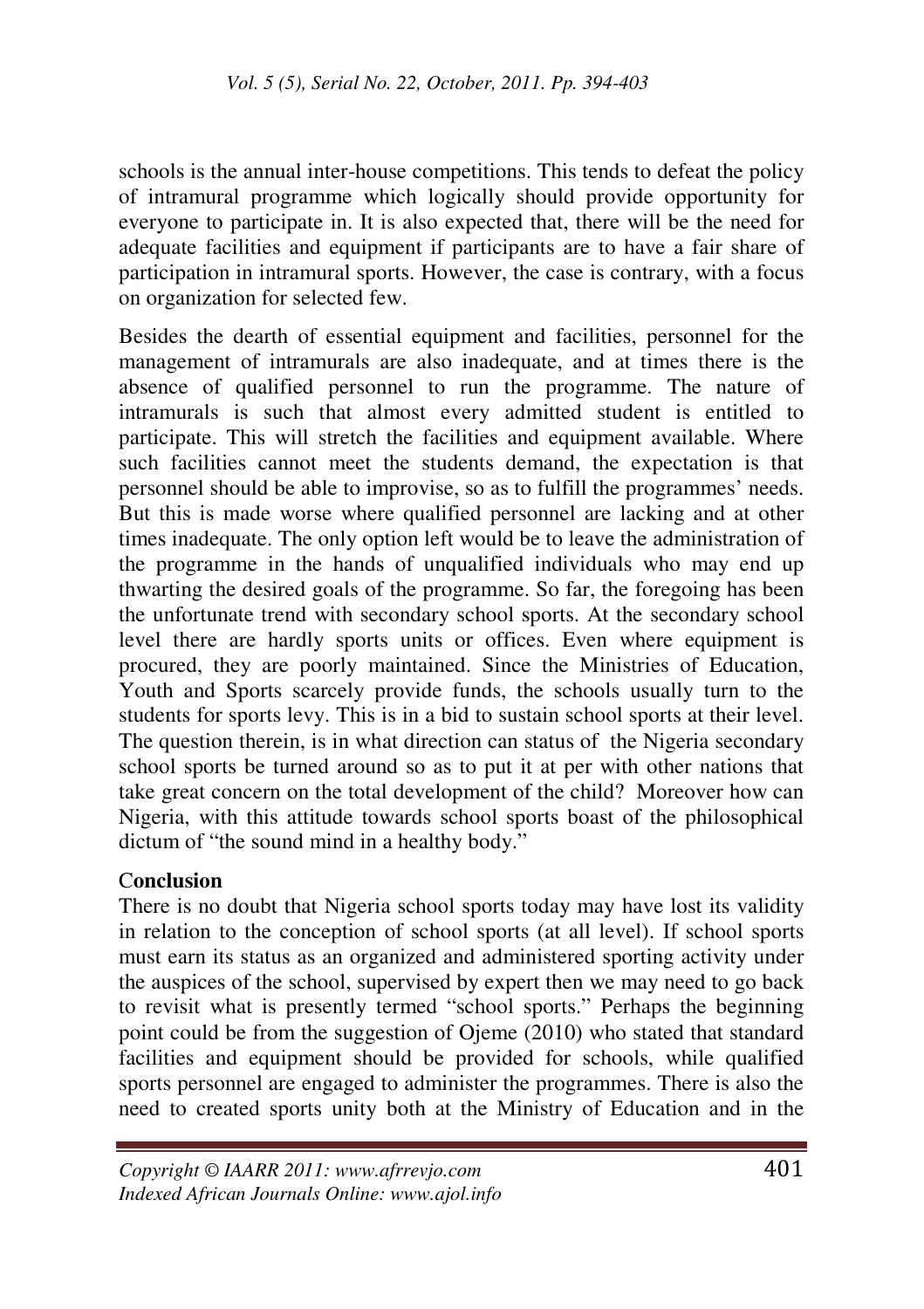schools is the annual inter-house competitions. This tends to defeat the policy of intramural programme which logically should provide opportunity for everyone to participate in. It is also expected that, there will be the need for adequate facilities and equipment if participants are to have a fair share of participation in intramural sports. However, the case is contrary, with a focus on organization for selected few.

Besides the dearth of essential equipment and facilities, personnel for the management of intramurals are also inadequate, and at times there is the absence of qualified personnel to run the programme. The nature of intramurals is such that almost every admitted student is entitled to participate. This will stretch the facilities and equipment available. Where such facilities cannot meet the students demand, the expectation is that personnel should be able to improvise, so as to fulfill the programmes' needs. But this is made worse where qualified personnel are lacking and at other times inadequate. The only option left would be to leave the administration of the programme in the hands of unqualified individuals who may end up thwarting the desired goals of the programme. So far, the foregoing has been the unfortunate trend with secondary school sports. At the secondary school level there are hardly sports units or offices. Even where equipment is procured, they are poorly maintained. Since the Ministries of Education, Youth and Sports scarcely provide funds, the schools usually turn to the students for sports levy. This is in a bid to sustain school sports at their level. The question therein, is in what direction can status of the Nigeria secondary school sports be turned around so as to put it at per with other nations that take great concern on the total development of the child? Moreover how can Nigeria, with this attitude towards school sports boast of the philosophical dictum of "the sound mind in a healthy body."

### C**onclusion**

There is no doubt that Nigeria school sports today may have lost its validity in relation to the conception of school sports (at all level). If school sports must earn its status as an organized and administered sporting activity under the auspices of the school, supervised by expert then we may need to go back to revisit what is presently termed "school sports." Perhaps the beginning point could be from the suggestion of Ojeme (2010) who stated that standard facilities and equipment should be provided for schools, while qualified sports personnel are engaged to administer the programmes. There is also the need to created sports unity both at the Ministry of Education and in the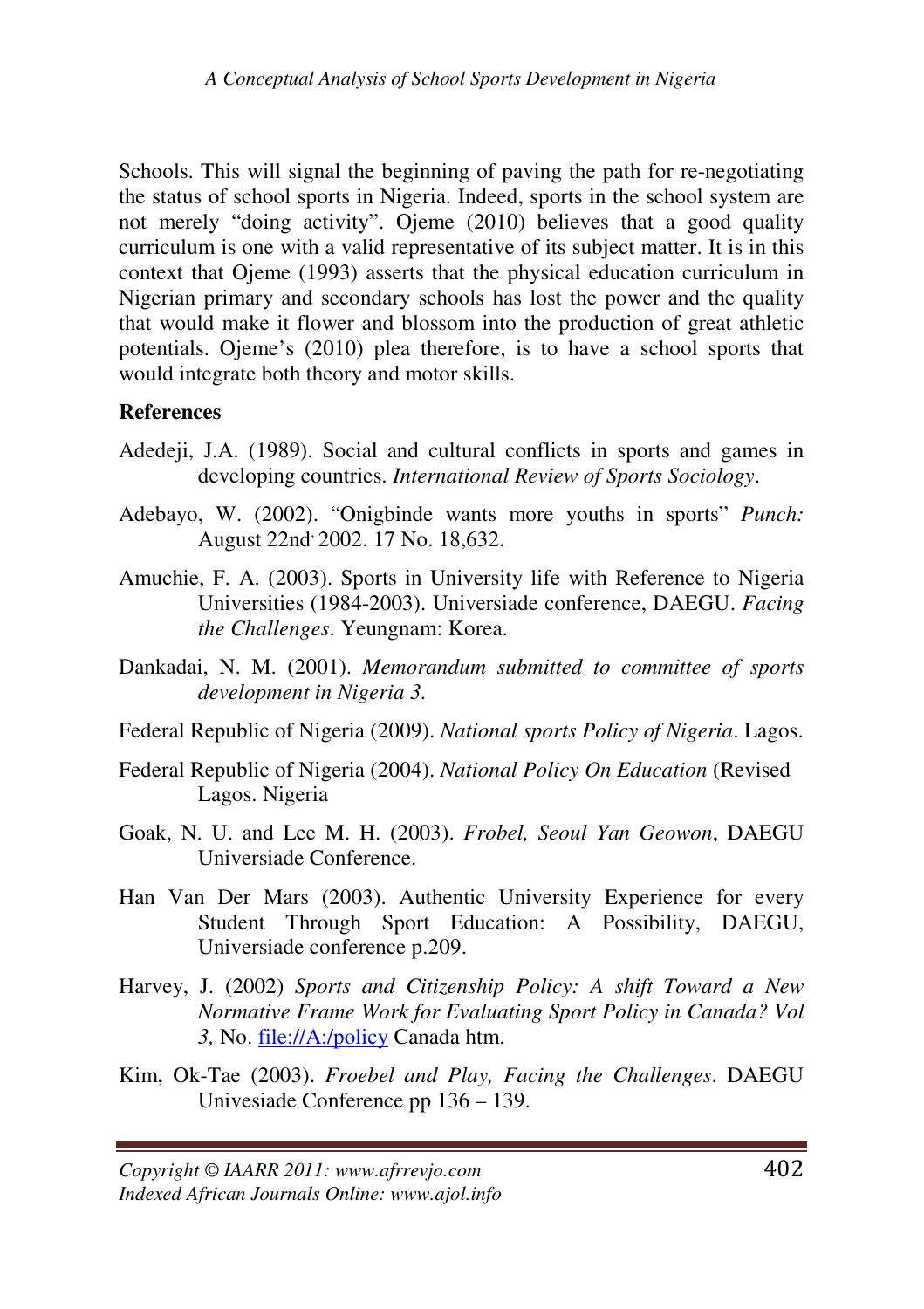Schools. This will signal the beginning of paving the path for re-negotiating the status of school sports in Nigeria. Indeed, sports in the school system are not merely "doing activity". Ojeme (2010) believes that a good quality curriculum is one with a valid representative of its subject matter. It is in this context that Ojeme (1993) asserts that the physical education curriculum in Nigerian primary and secondary schools has lost the power and the quality that would make it flower and blossom into the production of great athletic potentials. Ojeme's (2010) plea therefore, is to have a school sports that would integrate both theory and motor skills.

## **References**

- Adedeji, J.A. (1989). Social and cultural conflicts in sports and games in developing countries. *International Review of Sports Sociology*.
- Adebayo, W. (2002). "Onigbinde wants more youths in sports" *Punch:* August 22nd, 2002. 17 No. 18,632.
- Amuchie, F. A. (2003). Sports in University life with Reference to Nigeria Universities (1984-2003). Universiade conference, DAEGU. *Facing the Challenges*. Yeungnam: Korea.
- Dankadai, N. M. (2001). *Memorandum submitted to committee of sports development in Nigeria 3.*
- Federal Republic of Nigeria (2009). *National sports Policy of Nigeria*. Lagos.
- Federal Republic of Nigeria (2004). *National Policy On Education* (Revised Lagos. Nigeria
- Goak, N. U. and Lee M. H. (2003). *Frobel, Seoul Yan Geowon*, DAEGU Universiade Conference.
- Han Van Der Mars (2003). Authentic University Experience for every Student Through Sport Education: A Possibility, DAEGU, Universiade conference p.209.
- Harvey, J. (2002) *Sports and Citizenship Policy: A shift Toward a New Normative Frame Work for Evaluating Sport Policy in Canada? Vol 3,* No. file://A:/policy Canada htm.
- Kim, Ok-Tae (2003). *Froebel and Play, Facing the Challenges*. DAEGU Univesiade Conference pp 136 – 139.